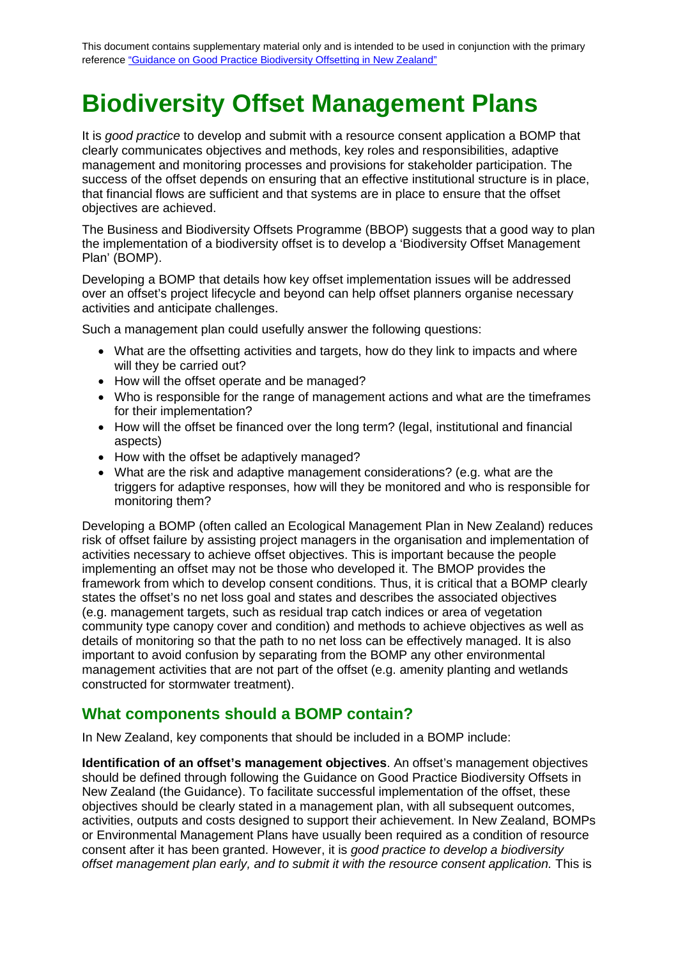# **Biodiversity Offset Management Plans**

It is *good practice* to develop and submit with a resource consent application a BOMP that clearly communicates objectives and methods, key roles and responsibilities, adaptive management and monitoring processes and provisions for stakeholder participation. The success of the offset depends on ensuring that an effective institutional structure is in place, that financial flows are sufficient and that systems are in place to ensure that the offset objectives are achieved.

The Business and Biodiversity Offsets Programme (BBOP) suggests that a good way to plan the implementation of a biodiversity offset is to develop a 'Biodiversity Offset Management Plan' (BOMP).

Developing a BOMP that details how key offset implementation issues will be addressed over an offset's project lifecycle and beyond can help offset planners organise necessary activities and anticipate challenges.

Such a management plan could usefully answer the following questions:

- What are the offsetting activities and targets, how do they link to impacts and where will they be carried out?
- How will the offset operate and be managed?
- Who is responsible for the range of management actions and what are the timeframes for their implementation?
- How will the offset be financed over the long term? (legal, institutional and financial aspects)
- How with the offset be adaptively managed?
- What are the risk and adaptive management considerations? (e.g. what are the triggers for adaptive responses, how will they be monitored and who is responsible for monitoring them?

Developing a BOMP (often called an Ecological Management Plan in New Zealand) reduces risk of offset failure by assisting project managers in the organisation and implementation of activities necessary to achieve offset objectives. This is important because the people implementing an offset may not be those who developed it. The BMOP provides the framework from which to develop consent conditions. Thus, it is critical that a BOMP clearly states the offset's no net loss goal and states and describes the associated objectives (e.g. management targets, such as residual trap catch indices or area of vegetation community type canopy cover and condition) and methods to achieve objectives as well as details of monitoring so that the path to no net loss can be effectively managed. It is also important to avoid confusion by separating from the BOMP any other environmental management activities that are not part of the offset (e.g. amenity planting and wetlands constructed for stormwater treatment).

#### **What components should a BOMP contain?**

In New Zealand, key components that should be included in a BOMP include:

**Identification of an offset's management objectives**. An offset's management objectives should be defined through following the Guidance on Good Practice Biodiversity Offsets in New Zealand (the Guidance). To facilitate successful implementation of the offset, these objectives should be clearly stated in a management plan, with all subsequent outcomes, activities, outputs and costs designed to support their achievement. In New Zealand, BOMPs or Environmental Management Plans have usually been required as a condition of resource consent after it has been granted. However, it is *good practice to develop a biodiversity offset management plan early, and to submit it with the resource consent application.* This is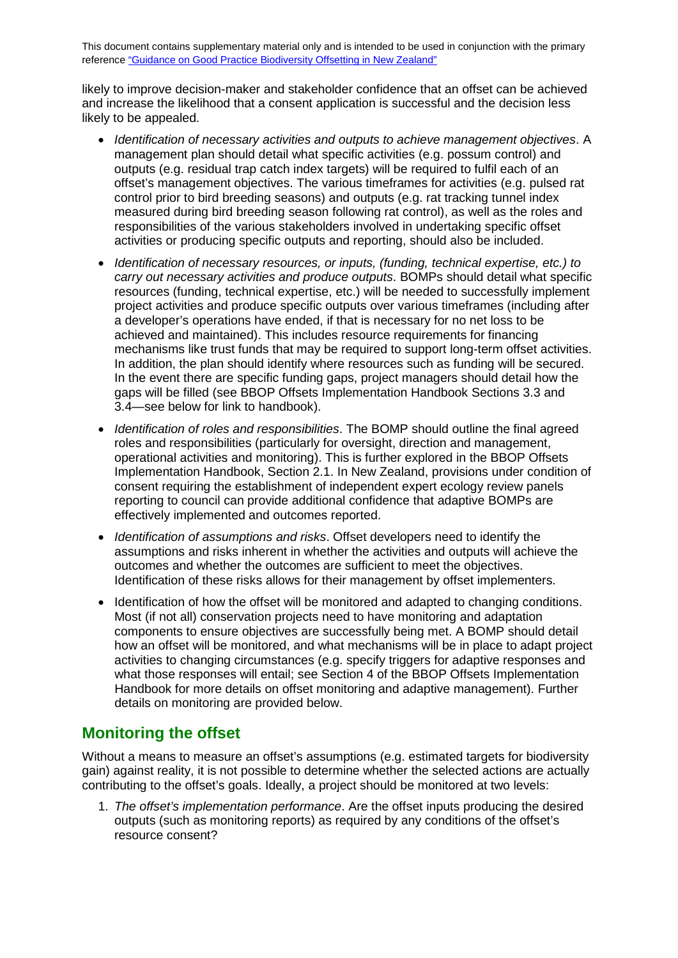likely to improve decision-maker and stakeholder confidence that an offset can be achieved and increase the likelihood that a consent application is successful and the decision less likely to be appealed.

- *Identification of necessary activities and outputs to achieve management objectives*. A management plan should detail what specific activities (e.g. possum control) and outputs (e.g. residual trap catch index targets) will be required to fulfil each of an offset's management objectives. The various timeframes for activities (e.g. pulsed rat control prior to bird breeding seasons) and outputs (e.g. rat tracking tunnel index measured during bird breeding season following rat control), as well as the roles and responsibilities of the various stakeholders involved in undertaking specific offset activities or producing specific outputs and reporting, should also be included.
- *Identification of necessary resources, or inputs, (funding, technical expertise, etc.) to carry out necessary activities and produce outputs*. BOMPs should detail what specific resources (funding, technical expertise, etc.) will be needed to successfully implement project activities and produce specific outputs over various timeframes (including after a developer's operations have ended, if that is necessary for no net loss to be achieved and maintained). This includes resource requirements for financing mechanisms like trust funds that may be required to support long-term offset activities. In addition, the plan should identify where resources such as funding will be secured. In the event there are specific funding gaps, project managers should detail how the gaps will be filled (see BBOP Offsets Implementation Handbook Sections 3.3 and 3.4—see below for link to handbook).
- *Identification of roles and responsibilities*. The BOMP should outline the final agreed roles and responsibilities (particularly for oversight, direction and management, operational activities and monitoring). This is further explored in the BBOP Offsets Implementation Handbook, Section 2.1. In New Zealand, provisions under condition of consent requiring the establishment of independent expert ecology review panels reporting to council can provide additional confidence that adaptive BOMPs are effectively implemented and outcomes reported.
- *Identification of assumptions and risks*. Offset developers need to identify the assumptions and risks inherent in whether the activities and outputs will achieve the outcomes and whether the outcomes are sufficient to meet the objectives. Identification of these risks allows for their management by offset implementers.
- Identification of how the offset will be monitored and adapted to changing conditions. Most (if not all) conservation projects need to have monitoring and adaptation components to ensure objectives are successfully being met. A BOMP should detail how an offset will be monitored, and what mechanisms will be in place to adapt project activities to changing circumstances (e.g. specify triggers for adaptive responses and what those responses will entail; see Section 4 of the BBOP Offsets Implementation Handbook for more details on offset monitoring and adaptive management). Further details on monitoring are provided below.

## **Monitoring the offset**

Without a means to measure an offset's assumptions (e.g. estimated targets for biodiversity gain) against reality, it is not possible to determine whether the selected actions are actually contributing to the offset's goals. Ideally, a project should be monitored at two levels:

1. *The offset's implementation performance*. Are the offset inputs producing the desired outputs (such as monitoring reports) as required by any conditions of the offset's resource consent?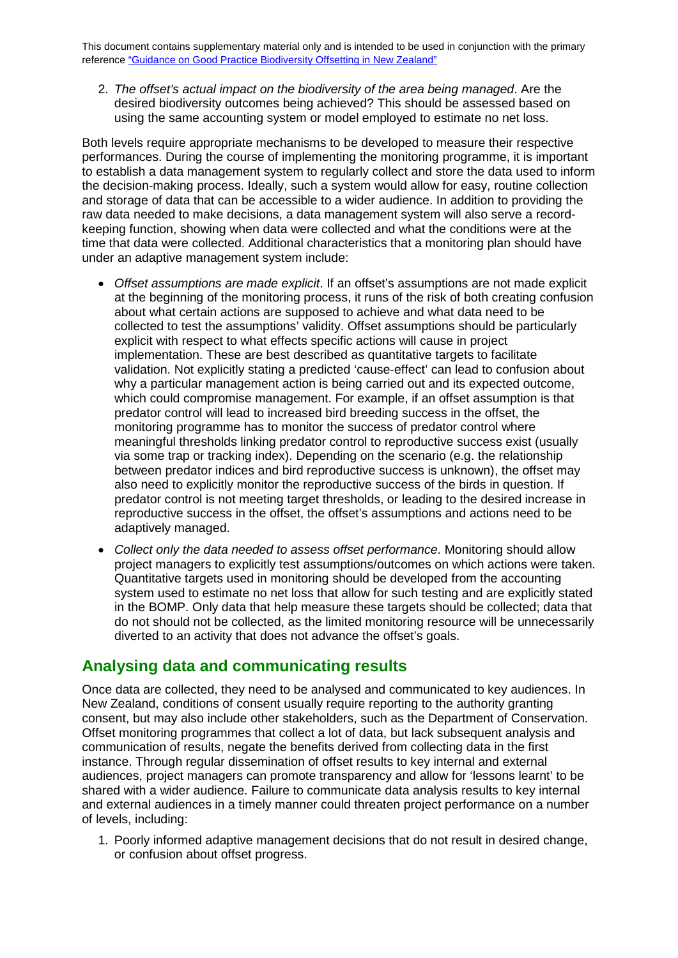2. *The offset's actual impact on the biodiversity of the area being managed*. Are the desired biodiversity outcomes being achieved? This should be assessed based on using the same accounting system or model employed to estimate no net loss.

Both levels require appropriate mechanisms to be developed to measure their respective performances. During the course of implementing the monitoring programme, it is important to establish a data management system to regularly collect and store the data used to inform the decision-making process. Ideally, such a system would allow for easy, routine collection and storage of data that can be accessible to a wider audience. In addition to providing the raw data needed to make decisions, a data management system will also serve a recordkeeping function, showing when data were collected and what the conditions were at the time that data were collected. Additional characteristics that a monitoring plan should have under an adaptive management system include:

- *Offset assumptions are made explicit*. If an offset's assumptions are not made explicit at the beginning of the monitoring process, it runs of the risk of both creating confusion about what certain actions are supposed to achieve and what data need to be collected to test the assumptions' validity. Offset assumptions should be particularly explicit with respect to what effects specific actions will cause in project implementation. These are best described as quantitative targets to facilitate validation. Not explicitly stating a predicted 'cause-effect' can lead to confusion about why a particular management action is being carried out and its expected outcome, which could compromise management. For example, if an offset assumption is that predator control will lead to increased bird breeding success in the offset, the monitoring programme has to monitor the success of predator control where meaningful thresholds linking predator control to reproductive success exist (usually via some trap or tracking index). Depending on the scenario (e.g. the relationship between predator indices and bird reproductive success is unknown), the offset may also need to explicitly monitor the reproductive success of the birds in question. If predator control is not meeting target thresholds, or leading to the desired increase in reproductive success in the offset, the offset's assumptions and actions need to be adaptively managed.
- *Collect only the data needed to assess offset performance*. Monitoring should allow project managers to explicitly test assumptions/outcomes on which actions were taken. Quantitative targets used in monitoring should be developed from the accounting system used to estimate no net loss that allow for such testing and are explicitly stated in the BOMP. Only data that help measure these targets should be collected; data that do not should not be collected, as the limited monitoring resource will be unnecessarily diverted to an activity that does not advance the offset's goals.

### **Analysing data and communicating results**

Once data are collected, they need to be analysed and communicated to key audiences. In New Zealand, conditions of consent usually require reporting to the authority granting consent, but may also include other stakeholders, such as the Department of Conservation. Offset monitoring programmes that collect a lot of data, but lack subsequent analysis and communication of results, negate the benefits derived from collecting data in the first instance. Through regular dissemination of offset results to key internal and external audiences, project managers can promote transparency and allow for 'lessons learnt' to be shared with a wider audience. Failure to communicate data analysis results to key internal and external audiences in a timely manner could threaten project performance on a number of levels, including:

1. Poorly informed adaptive management decisions that do not result in desired change, or confusion about offset progress.